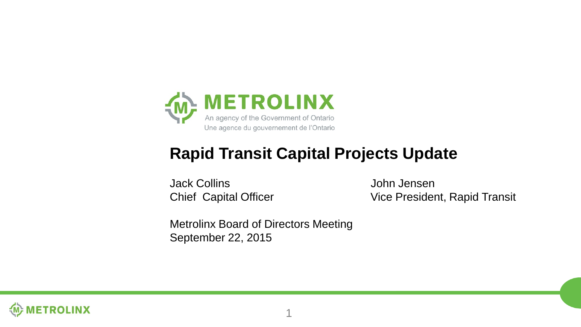

### **Rapid Transit Capital Projects Update**

Jack Collins John Jensen

Chief Capital Officer Vice President, Rapid Transit

Metrolinx Board of Directors Meeting September 22, 2015

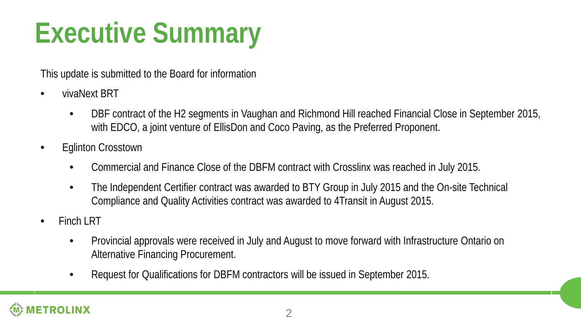### **Executive Summary**

This update is submitted to the Board for information

- vivaNext BRT
	- DBF contract of the H2 segments in Vaughan and Richmond Hill reached Financial Close in September 2015, with EDCO, a joint venture of EllisDon and Coco Paving, as the Preferred Proponent.
- Eglinton Crosstown
	- Commercial and Finance Close of the DBFM contract with Crosslinx was reached in July 2015.
	- The Independent Certifier contract was awarded to BTY Group in July 2015 and the On-site Technical Compliance and Quality Activities contract was awarded to 4Transit in August 2015.
- Finch IRT
	- Provincial approvals were received in July and August to move forward with Infrastructure Ontario on Alternative Financing Procurement.
	- Request for Qualifications for DBFM contractors will be issued in September 2015.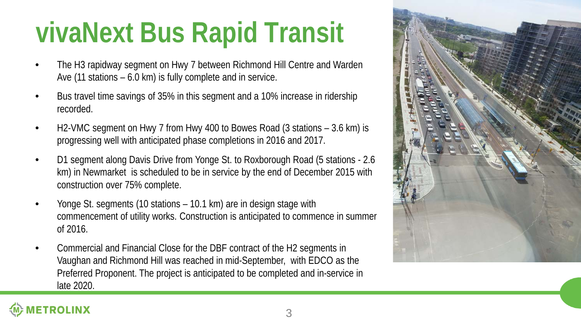### **vivaNext Bus Rapid Transit**

- The H3 rapidway segment on Hwy 7 between Richmond Hill Centre and Warden Ave (11 stations – 6.0 km) is fully complete and in service.
- Bus travel time savings of 35% in this segment and a 10% increase in ridership recorded.
- H2-VMC segment on Hwy 7 from Hwy 400 to Bowes Road (3 stations 3.6 km) is progressing well with anticipated phase completions in 2016 and 2017.
- D1 segment along Davis Drive from Yonge St. to Roxborough Road (5 stations 2.6 km) in Newmarket is scheduled to be in service by the end of December 2015 with construction over 75% complete.
- Yonge St. segments (10 stations 10.1 km) are in design stage with commencement of utility works. Construction is anticipated to commence in summer of 2016.
- Commercial and Financial Close for the DBF contract of the H2 segments in Vaughan and Richmond Hill was reached in mid-September, with EDCO as the Preferred Proponent. The project is anticipated to be completed and in-service in late 2020.

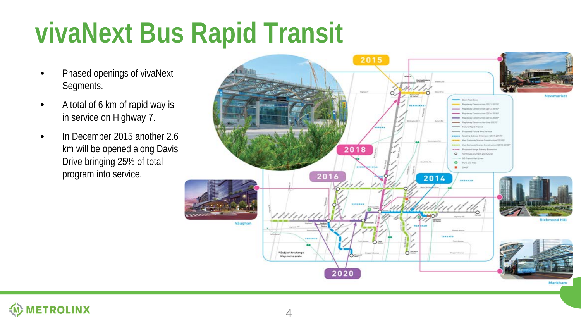### **vivaNext Bus Rapid Transit**

- Phased openings of vivaNext Segments.
- A total of 6 km of rapid way is in service on Highway 7.
- In December 2015 another 2.6 km will be opened along Davis Drive bringing 25% of total program into service.



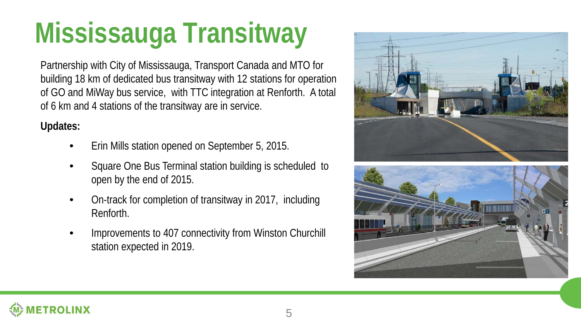### **Mississauga Transitway**

Partnership with City of Mississauga, Transport Canada and MTO for building 18 km of dedicated bus transitway with 12 stations for operation of GO and MiWay bus service, with TTC integration at Renforth. A total of 6 km and 4 stations of the transitway are in service.

#### **Updates:**

- Erin Mills station opened on September 5, 2015.
- Square One Bus Terminal station building is scheduled to open by the end of 2015.
- On-track for completion of transitway in 2017, including Renforth.
- Improvements to 407 connectivity from Winston Churchill station expected in 2019.





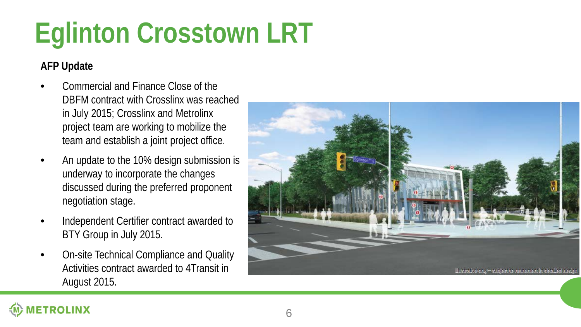# **Eglinton Crosstown LRT**

#### **AFP Update**

- Commercial and Finance Close of the DBFM contract with Crosslinx was reached in July 2015; Crosslinx and Metrolinx project team are working to mobilize the team and establish a joint project office.
- An update to the 10% design submission is underway to incorporate the changes discussed during the preferred proponent negotiation stage.
- Independent Certifier contract awarded to BTY Group in July 2015.
- On-site Technical Compliance and Quality Activities contract awarded to 4Transit in August 2015.



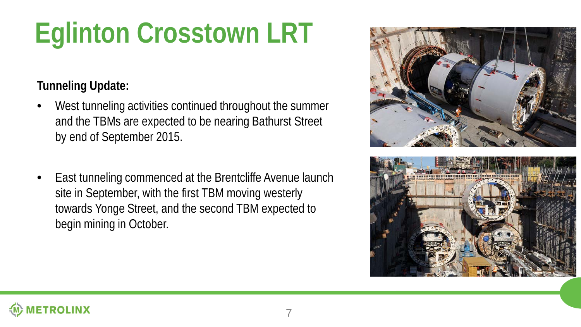## **Eglinton Crosstown LRT**

### **Tunneling Update:**

- West tunneling activities continued throughout the summer and the TBMs are expected to be nearing Bathurst Street by end of September 2015.
- East tunneling commenced at the Brentcliffe Avenue launch site in September, with the first TBM moving westerly towards Yonge Street, and the second TBM expected to begin mining in October.





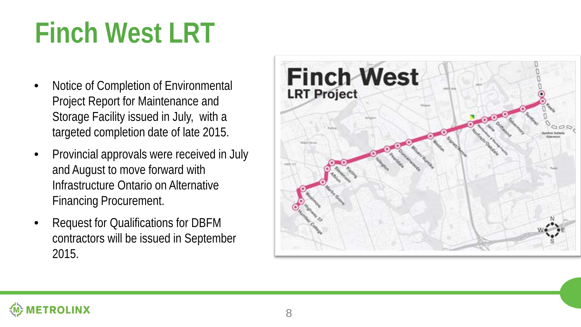### **Finch West LRT**

- Notice of Completion of Environmental Project Report for Maintenance and Storage Facility issued in July, with a targeted completion date of late 2015.
- Provincial approvals were received in July and August to move forward with Infrastructure Ontario on Alternative Financing Procurement.
- Request for Qualifications for DBFM contractors will be issued in September 2015.



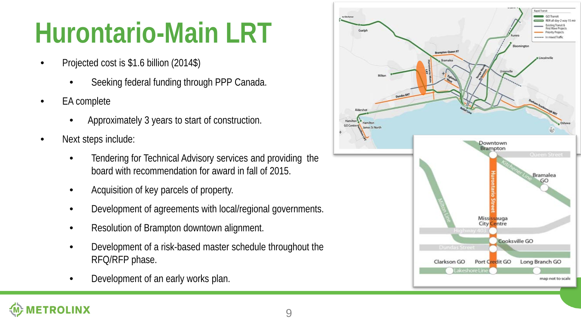### **Hurontario-Main LRT**

- Projected cost is \$1.6 billion (2014\$)
	- Seeking federal funding through PPP Canada.
- EA complete
	- Approximately 3 years to start of construction.
- Next steps include:
	- Tendering for Technical Advisory services and providing the board with recommendation for award in fall of 2015.
	- Acquisition of key parcels of property.
	- Development of agreements with local/regional governments.
	- Resolution of Brampton downtown alignment.
	- Development of a risk-based master schedule throughout the RFQ/RFP phase.
	- Development of an early works plan.

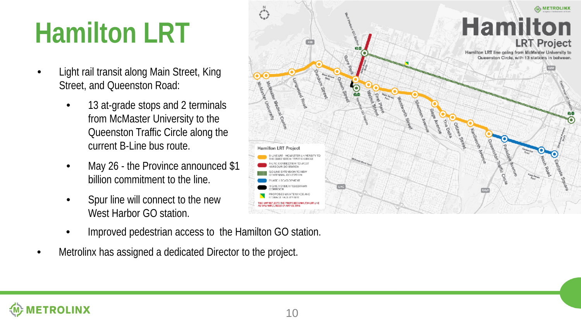### **Hamilton LRT**

- Light rail transit along Main Street, King Street, and Queenston Road:
	- 13 at-grade stops and 2 terminals from McMaster University to the Queenston Traffic Circle along the current B-Line bus route.
	- May 26 the Province announced \$1 billion commitment to the line.
	- Spur line will connect to the new West Harbor GO station.
	- Improved pedestrian access to the Hamilton GO station.
- Metrolinx has assigned a dedicated Director to the project.